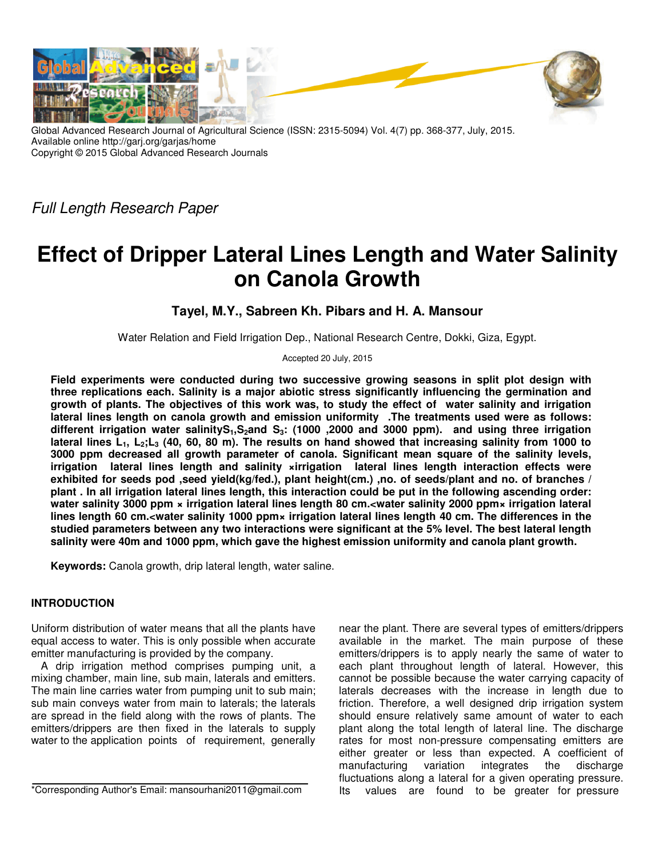

Global Advanced Research Journal of Agricultural Science (ISSN: 2315-5094) Vol. 4(7) pp. 368-377, July, 2015. Available online http://garj.org/garjas/home Copyright © 2015 Global Advanced Research Journals

Full Length Research Paper

# **Effect of Dripper Lateral Lines Length and Water Salinity on Canola Growth**

**Tayel, M.Y., Sabreen Kh. Pibars and H. A. Mansour** 

Water Relation and Field Irrigation Dep., National Research Centre, Dokki, Giza, Egypt.

Accepted 20 July, 2015

**Field experiments were conducted during two successive growing seasons in split plot design with three replications each. Salinity is a major abiotic stress significantly influencing the germination and growth of plants. The objectives of this work was, to study the effect of water salinity and irrigation lateral lines length on canola growth and emission uniformity .The treatments used were as follows: different irrigation water salinityS1,S2and S3: (1000 ,2000 and 3000 ppm). and using three irrigation lateral lines L1, L2;L3 (40, 60, 80 m). The results on hand showed that increasing salinity from 1000 to 3000 ppm decreased all growth parameter of canola. Significant mean square of the salinity levels, irrigation lateral lines length and salinity ×irrigation lateral lines length interaction effects were exhibited for seeds pod ,seed yield(kg/fed.), plant height(cm.) ,no. of seeds/plant and no. of branches / plant . In all irrigation lateral lines length, this interaction could be put in the following ascending order: water salinity 3000 ppm × irrigation lateral lines length 80 cm.<water salinity 2000 ppm× irrigation lateral lines length 60 cm.<water salinity 1000 ppm× irrigation lateral lines length 40 cm. The differences in the studied parameters between any two interactions were significant at the 5% level. The best lateral length salinity were 40m and 1000 ppm, which gave the highest emission uniformity and canola plant growth.** 

**Keywords:** Canola growth, drip lateral length, water saline.

# **INTRODUCTION**

Uniform distribution of water means that all the plants have equal access to water. This is only possible when accurate emitter manufacturing is provided by the company.

A drip irrigation method comprises pumping unit, a mixing chamber, main line, sub main, laterals and emitters. The main line carries water from pumping unit to sub main; sub main conveys water from main to laterals; the laterals are spread in the field along with the rows of plants. The emitters/drippers are then fixed in the laterals to supply water to the application points of requirement, generally

\*Corresponding Author's Email: mansourhani2011@gmail.com

near the plant. There are several types of emitters/drippers available in the market. The main purpose of these emitters/drippers is to apply nearly the same of water to each plant throughout length of lateral. However, this cannot be possible because the water carrying capacity of laterals decreases with the increase in length due to friction. Therefore, a well designed drip irrigation system should ensure relatively same amount of water to each plant along the total length of lateral line. The discharge rates for most non-pressure compensating emitters are either greater or less than expected. A coefficient of manufacturing variation integrates the discharge fluctuations along a lateral for a given operating pressure. Its values are found to be greater for pressure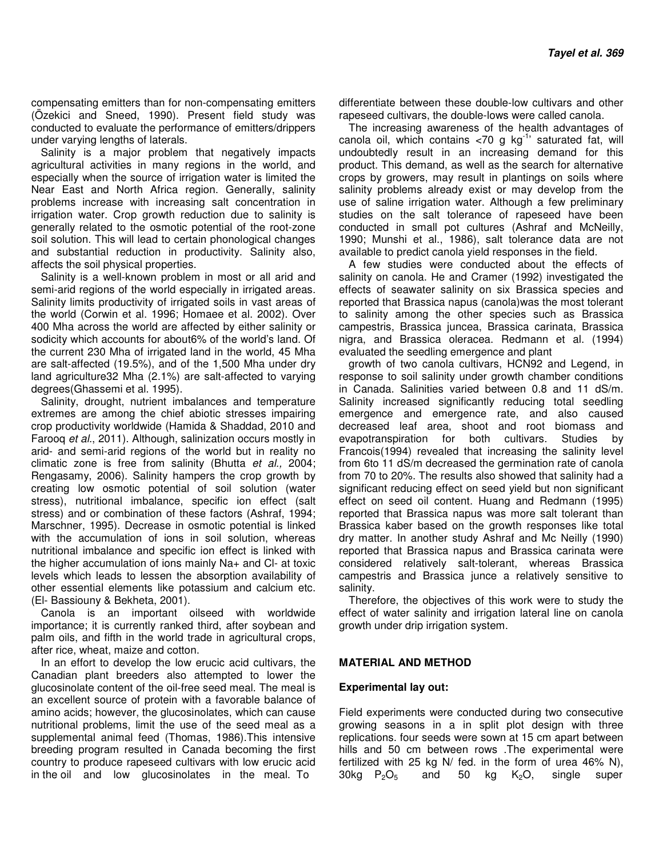compensating emitters than for non-compensating emitters (Özekici and Sneed, 1990). Present field study was conducted to evaluate the performance of emitters/drippers under varying lengths of laterals.

Salinity is a major problem that negatively impacts agricultural activities in many regions in the world, and especially when the source of irrigation water is limited the Near East and North Africa region. Generally, salinity problems increase with increasing salt concentration in irrigation water. Crop growth reduction due to salinity is generally related to the osmotic potential of the root-zone soil solution. This will lead to certain phonological changes and substantial reduction in productivity. Salinity also, affects the soil physical properties.

Salinity is a well-known problem in most or all arid and semi-arid regions of the world especially in irrigated areas. Salinity limits productivity of irrigated soils in vast areas of the world (Corwin et al. 1996; Homaee et al. 2002). Over 400 Mha across the world are affected by either salinity or sodicity which accounts for about6% of the world's land. Of the current 230 Mha of irrigated land in the world, 45 Mha are salt-affected (19.5%), and of the 1,500 Mha under dry land agriculture32 Mha (2.1%) are salt-affected to varying degrees(Ghassemi et al. 1995).

Salinity, drought, nutrient imbalances and temperature extremes are among the chief abiotic stresses impairing crop productivity worldwide (Hamida & Shaddad, 2010 and Farooq et al., 2011). Although, salinization occurs mostly in arid- and semi-arid regions of the world but in reality no climatic zone is free from salinity (Bhutta et al., 2004; Rengasamy, 2006). Salinity hampers the crop growth by creating low osmotic potential of soil solution (water stress), nutritional imbalance, specific ion effect (salt stress) and or combination of these factors (Ashraf, 1994; Marschner, 1995). Decrease in osmotic potential is linked with the accumulation of ions in soil solution, whereas nutritional imbalance and specific ion effect is linked with the higher accumulation of ions mainly Na+ and Cl- at toxic levels which leads to lessen the absorption availability of other essential elements like potassium and calcium etc. (El- Bassiouny & Bekheta, 2001).

Canola is an important oilseed with worldwide importance; it is currently ranked third, after soybean and palm oils, and fifth in the world trade in agricultural crops, after rice, wheat, maize and cotton.

In an effort to develop the low erucic acid cultivars, the Canadian plant breeders also attempted to lower the glucosinolate content of the oil-free seed meal. The meal is an excellent source of protein with a favorable balance of amino acids; however, the glucosinolates, which can cause nutritional problems, limit the use of the seed meal as a supplemental animal feed (Thomas, 1986).This intensive breeding program resulted in Canada becoming the first country to produce rapeseed cultivars with low erucic acid in the oil and low glucosinolates in the meal. To

differentiate between these double-low cultivars and other rapeseed cultivars, the double-lows were called canola.

The increasing awareness of the health advantages of canola oil, which contains  $\langle 70 \text{ g kg}^{\text{-1}} \rangle$  saturated fat, will undoubtedly result in an increasing demand for this product. This demand, as well as the search for alternative crops by growers, may result in plantings on soils where salinity problems already exist or may develop from the use of saline irrigation water. Although a few preliminary studies on the salt tolerance of rapeseed have been conducted in small pot cultures (Ashraf and McNeilly, 1990; Munshi et al., 1986), salt tolerance data are not available to predict canola yield responses in the field.

A few studies were conducted about the effects of salinity on canola. He and Cramer (1992) investigated the effects of seawater salinity on six Brassica species and reported that Brassica napus (canola)was the most tolerant to salinity among the other species such as Brassica campestris, Brassica juncea, Brassica carinata, Brassica nigra, and Brassica oleracea. Redmann et al. (1994) evaluated the seedling emergence and plant

growth of two canola cultivars, HCN92 and Legend, in response to soil salinity under growth chamber conditions in Canada. Salinities varied between 0.8 and 11 dS/m. Salinity increased significantly reducing total seedling emergence and emergence rate, and also caused decreased leaf area, shoot and root biomass and evapotranspiration for both cultivars. Studies by Francois(1994) revealed that increasing the salinity level from 6to 11 dS/m decreased the germination rate of canola from 70 to 20%. The results also showed that salinity had a significant reducing effect on seed yield but non significant effect on seed oil content. Huang and Redmann (1995) reported that Brassica napus was more salt tolerant than Brassica kaber based on the growth responses like total dry matter. In another study Ashraf and Mc Neilly (1990) reported that Brassica napus and Brassica carinata were considered relatively salt-tolerant, whereas Brassica campestris and Brassica junce a relatively sensitive to salinity.

Therefore, the objectives of this work were to study the effect of water salinity and irrigation lateral line on canola growth under drip irrigation system.

# **MATERIAL AND METHOD**

#### **Experimental lay out:**

Field experiments were conducted during two consecutive growing seasons in a in split plot design with three replications. four seeds were sown at 15 cm apart between hills and 50 cm between rows .The experimental were fertilized with 25 kg N/ fed. in the form of urea 46% N),  $30kg$  P<sub>2</sub>O<sub>5</sub> and 50 kg K<sub>2</sub>O, single super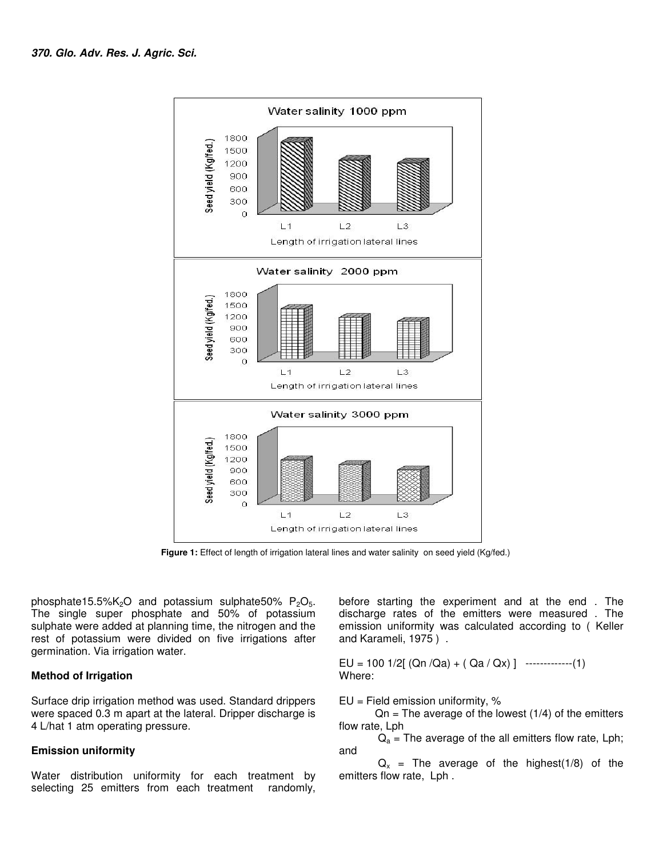

Figure 1: Effect of length of irrigation lateral lines and water salinity on seed yield (Kg/fed.)

phosphate15.5% $K_2O$  and potassium sulphate50%  $P_2O_5$ . The single super phosphate and 50% of potassium sulphate were added at planning time, the nitrogen and the rest of potassium were divided on five irrigations after germination. Via irrigation water.

#### **Method of Irrigation**

Surface drip irrigation method was used. Standard drippers were spaced 0.3 m apart at the lateral. Dripper discharge is 4 L/hat 1 atm operating pressure.

# **Emission uniformity**

Water distribution uniformity for each treatment by selecting 25 emitters from each treatment randomly, before starting the experiment and at the end . The discharge rates of the emitters were measured . The emission uniformity was calculated according to ( Keller and Karameli, 1975 ) .

EU = 100 1/2[ (Qn /Qa) + ( Qa / Qx) ] -------------(1) Where:

EU = Field emission uniformity, %

 $Qn = The average of the lowest (1/4) of the emitters$ flow rate, Lph

 $Q_a$  = The average of the all emitters flow rate, Lph; and

 $Q_x$  = The average of the highest(1/8) of the emitters flow rate, Lph .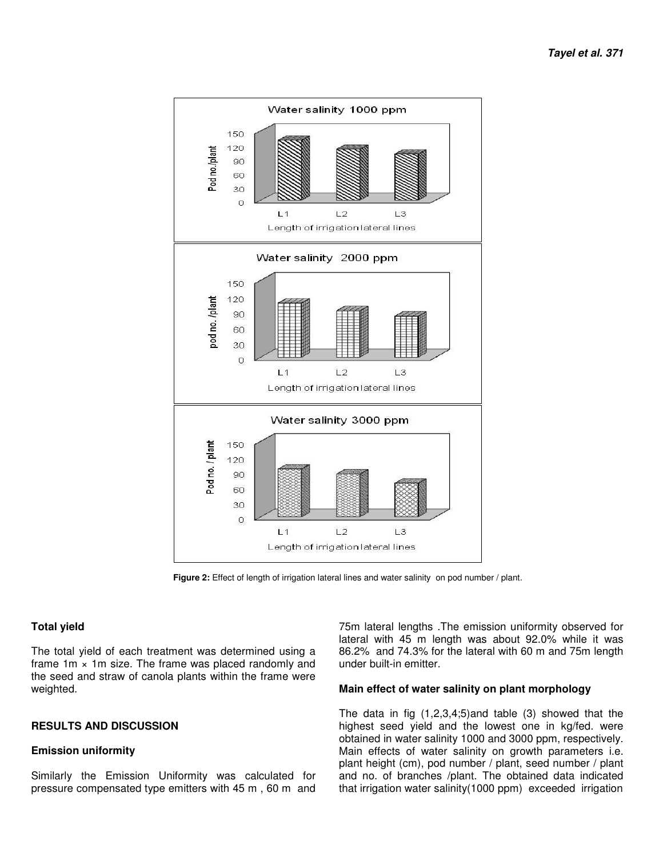

Figure 2: Effect of length of irrigation lateral lines and water salinity on pod number / plant.

# **Total yield**

The total yield of each treatment was determined using a frame  $1m \times 1m$  size. The frame was placed randomly and the seed and straw of canola plants within the frame were weighted.

#### **RESULTS AND DISCUSSION**

# **Emission uniformity**

Similarly the Emission Uniformity was calculated for pressure compensated type emitters with 45 m , 60 m and

75m lateral lengths .The emission uniformity observed for lateral with 45 m length was about 92.0% while it was 86.2% and 74.3% for the lateral with 60 m and 75m length under built-in emitter.

#### **Main effect of water salinity on plant morphology**

The data in fig (1,2,3,4;5)and table (3) showed that the highest seed yield and the lowest one in kg/fed. were obtained in water salinity 1000 and 3000 ppm, respectively. Main effects of water salinity on growth parameters i.e. plant height (cm), pod number / plant, seed number / plant and no. of branches /plant. The obtained data indicated that irrigation water salinity(1000 ppm) exceeded irrigation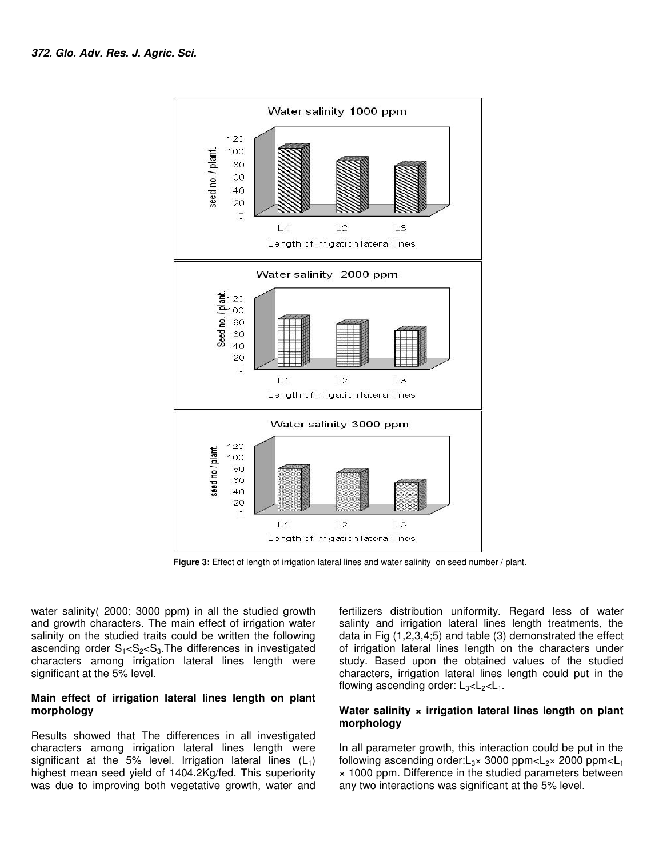

 **Figure 3:** Effect of length of irrigation lateral lines and water salinity on seed number / plant.

water salinity( 2000; 3000 ppm) in all the studied growth and growth characters. The main effect of irrigation water salinity on the studied traits could be written the following ascending order  $S_1 < S_2 < S_3$ . The differences in investigated characters among irrigation lateral lines length were significant at the 5% level.

# **Main effect of irrigation lateral lines length on plant morphology**

Results showed that The differences in all investigated characters among irrigation lateral lines length were significant at the 5% level. Irrigation lateral lines  $(L_1)$ highest mean seed yield of 1404.2Kg/fed. This superiority was due to improving both vegetative growth, water and

fertilizers distribution uniformity. Regard less of water salinty and irrigation lateral lines length treatments, the data in Fig (1,2,3,4;5) and table (3) demonstrated the effect of irrigation lateral lines length on the characters under study. Based upon the obtained values of the studied characters, irrigation lateral lines length could put in the flowing ascending order:  $L_3 < L_2 < L_1$ .

#### **Water salinity × irrigation lateral lines length on plant morphology**

In all parameter growth, this interaction could be put in the following ascending order: $L_3 \times 3000$  ppm< $L_2 \times 2000$  ppm< $L_1$ × 1000 ppm. Difference in the studied parameters between any two interactions was significant at the 5% level.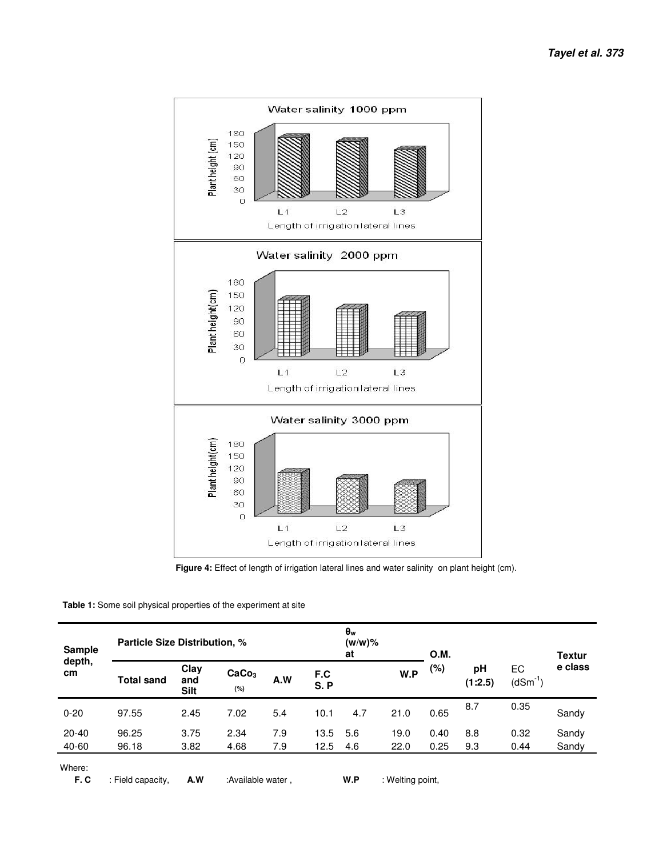

 **Figure 4:** Effect of length of irrigation lateral lines and water salinity on plant height (cm).

|  | <b>Table 1:</b> Some soil physical properties of the experiment at site |
|--|-------------------------------------------------------------------------|
|  |                                                                         |

| <b>Sample</b><br>depth,<br>cm | <b>Particle Size Distribution, %</b> |                            |                          |     |            | $\mathbf{\theta}_{\mathbf{w}}$<br>$(w/w)\%$<br>at |      | O.M. |               |                    | <b>Textur</b> |
|-------------------------------|--------------------------------------|----------------------------|--------------------------|-----|------------|---------------------------------------------------|------|------|---------------|--------------------|---------------|
|                               | <b>Total sand</b>                    | Clay<br>and<br><b>Silt</b> | CaCo <sub>3</sub><br>(%) | A.W | F.C<br>S.P |                                                   | W.P  | (%)  | рH<br>(1:2.5) | EC<br>$(dSm^{-1})$ | e class       |
| $0 - 20$                      | 97.55                                | 2.45                       | 7.02                     | 5.4 | 10.1       | 4.7                                               | 21.0 | 0.65 | 8.7           | 0.35               | Sandy         |
| $20 - 40$                     | 96.25                                | 3.75                       | 2.34                     | 7.9 | 13.5       | 5.6                                               | 19.0 | 0.40 | 8.8           | 0.32               | Sandy         |
| 40-60                         | 96.18                                | 3.82                       | 4.68                     | 7.9 | 12.5       | 4.6                                               | 22.0 | 0.25 | 9.3           | 0.44               | Sandy         |

Where:

 **F. C** : Field capacity, **A.W** :Available water , **W.P** : Welting point,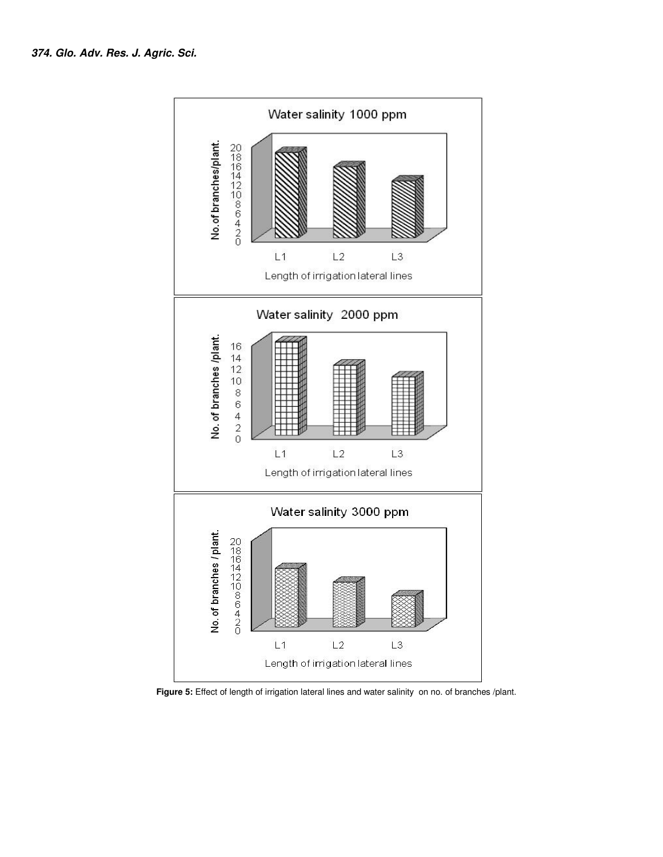

 **Figure 5:** Effect of length of irrigation lateral lines and water salinity on no. of branches /plant.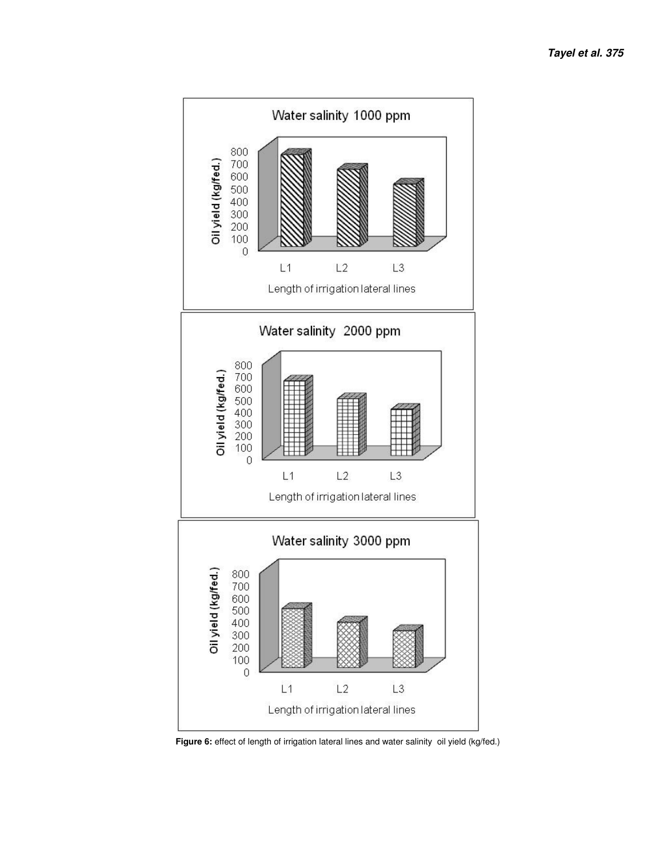

Figure 6: effect of length of irrigation lateral lines and water salinity oil yield (kg/fed.)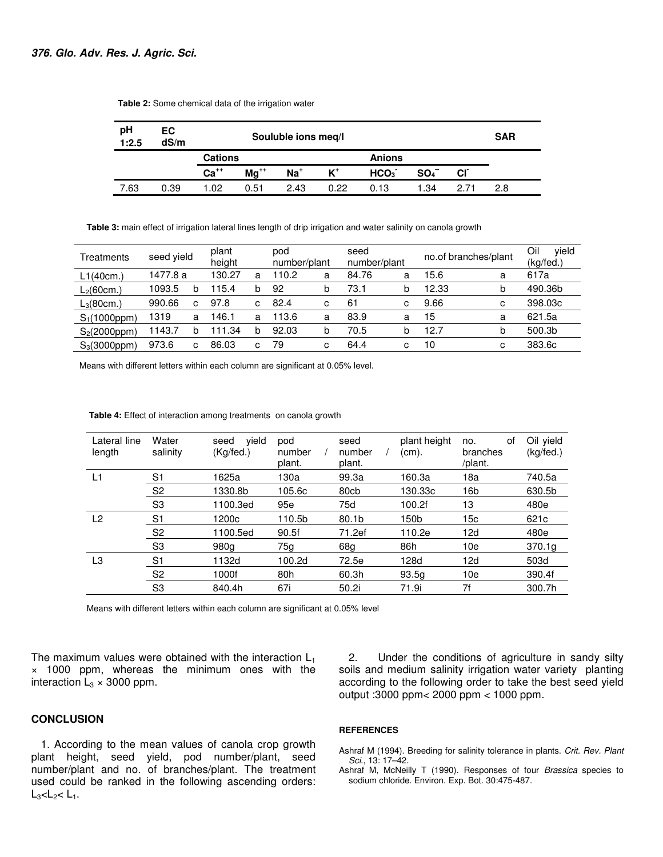| рH<br>1:2.5 | EC<br>dS/m | Souluble ions meg/l |           |       |                |                  |          |     | <b>SAR</b> |  |
|-------------|------------|---------------------|-----------|-------|----------------|------------------|----------|-----|------------|--|
|             |            | Cations             |           |       |                | <b>Anions</b>    |          |     |            |  |
|             |            | $Ca++$              | $Mg^{+*}$ | $Na+$ | $\mathsf{K}^*$ | HCO <sub>3</sub> | $SO_4^-$ |     |            |  |
| 7.63        | 0.39       | .02                 | 0.51      | 2.43  | 0.22           | 0.13             | .34      | 271 | 2.8        |  |

 **Table 2:** Some chemical data of the irrigation water

 **Table 3:** main effect of irrigation lateral lines length of drip irrigation and water salinity on canola growth

| Treatments     | seed yield |   | plant<br>height |   | pod<br>number/plant |   | seed<br>number/plant |        | no.of branches/plant |   | Oil<br>vield<br>(kg/fed.) |
|----------------|------------|---|-----------------|---|---------------------|---|----------------------|--------|----------------------|---|---------------------------|
| L1(40cm.)      | 1477.8 a   |   | 130.27          | a | 110.2               | a | 84.76                | а      | 15.6                 | a | 617a                      |
| $L_2(60cm.)$   | 1093.5     | b | 115.4           | b | 92                  | b | 73.1                 | b      | 12.33                | b | 490.36b                   |
| $L_3(80cm.)$   | 990.66     | c | 97.8            | C | 82.4                | с | 61                   | с      | 9.66                 | C | 398,03c                   |
| $S_1(1000ppm)$ | 1319       | а | 146.1           | a | 113.6               | а | 83.9                 | а      | 15                   | a | 621.5a                    |
| $S_2(2000ppm)$ | 1143.7     | b | 1.34            | h | 92.03               |   | 70.5                 |        | 12.7                 | b | 500.3b                    |
| $S_3(3000ppm)$ | 973.6      | с | 86.03           | c | 79                  | c | 64.4                 | ⌒<br>u | 10                   | с | 383.6c                    |

Means with different letters within each column are significant at 0.05% level.

| Lateral line<br>length | Water<br>salinity | vield<br>seed<br>(Kg/fed.) | pod<br>number<br>plant. | seed<br>number<br>plant. | plant height<br>(cm). | οf<br>no.<br>branches<br>/plant. | Oil yield<br>(kq/fed.) |
|------------------------|-------------------|----------------------------|-------------------------|--------------------------|-----------------------|----------------------------------|------------------------|
| L1                     | S <sub>1</sub>    | 1625a                      | 130a                    | 99.3a                    | 160.3a                | 18a                              | 740.5a                 |
|                        | S <sub>2</sub>    | 1330.8b                    | 105.6c                  | 80cb                     | 130.33c               | 16 <sub>b</sub>                  | 630.5b                 |
|                        | S <sub>3</sub>    | 1100.3ed                   | 95e                     | 75d                      | 100.2f                | 13                               | 480e                   |
| L2                     | S <sub>1</sub>    | 1200c                      | 110.5b                  | 80.1 <sub>b</sub>        | 150 <sub>b</sub>      | 15с                              | 621c                   |
|                        | S <sub>2</sub>    | 1100.5ed                   | 90.5f                   | 71.2ef                   | 110.2e                | 12d                              | 480e                   |
|                        | S <sub>3</sub>    | 980g                       | 75g                     | 68g                      | 86h                   | 10e                              | 370.1g                 |
| L3                     | S <sub>1</sub>    | 1132d                      | 100.2d                  | 72.5e                    | 128d                  | 12d                              | 503d                   |
|                        | S <sub>2</sub>    | 1000f                      | 80h                     | 60.3h                    | 93.5g                 | 10e                              | 390.4f                 |
|                        | S3                | 840.4h                     | 67i                     | 50.2i                    | 71.9i                 | 7f                               | 300.7h                 |

 **Table 4:** Effect of interaction among treatments on canola growth

Means with different letters within each column are significant at 0.05% level

The maximum values were obtained with the interaction  $L_1$ × 1000 ppm, whereas the minimum ones with the interaction  $L_3 \times 3000$  ppm.

# **CONCLUSION**

1. According to the mean values of canola crop growth plant height, seed yield, pod number/plant, seed number/plant and no. of branches/plant. The treatment used could be ranked in the following ascending orders:  $L_3 < L_2 < L_1$ .

2. Under the conditions of agriculture in sandy silty soils and medium salinity irrigation water variety planting according to the following order to take the best seed yield output :3000 ppm< 2000 ppm < 1000 ppm.

#### **REFERENCES**

Ashraf M (1994). Breeding for salinity tolerance in plants. Crit. Rev. Plant Sci., 13: 17–42.

Ashraf M, McNeilly T (1990). Responses of four Brassica species to sodium chloride. Environ. Exp. Bot. 30:475-487.